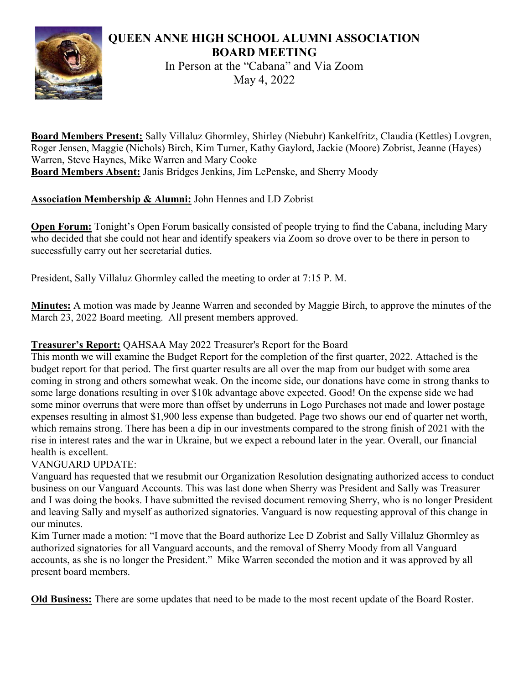## QUEEN ANNE HIGH SCHOOL ALUMNI ASSOCIATION BOARD MEETING



In Person at the "Cabana" and Via Zoom May 4, 2022

Board Members Present: Sally Villaluz Ghormley, Shirley (Niebuhr) Kankelfritz, Claudia (Kettles) Lovgren, Roger Jensen, Maggie (Nichols) Birch, Kim Turner, Kathy Gaylord, Jackie (Moore) Zobrist, Jeanne (Hayes) Warren, Steve Haynes, Mike Warren and Mary Cooke Board Members Absent: Janis Bridges Jenkins, Jim LePenske, and Sherry Moody

# Association Membership & Alumni: John Hennes and LD Zobrist

**Open Forum:** Tonight's Open Forum basically consisted of people trying to find the Cabana, including Mary who decided that she could not hear and identify speakers via Zoom so drove over to be there in person to successfully carry out her secretarial duties.

President, Sally Villaluz Ghormley called the meeting to order at 7:15 P. M.

Minutes: A motion was made by Jeanne Warren and seconded by Maggie Birch, to approve the minutes of the March 23, 2022 Board meeting. All present members approved.

## Treasurer's Report: QAHSAA May 2022 Treasurer's Report for the Board

This month we will examine the Budget Report for the completion of the first quarter, 2022. Attached is the budget report for that period. The first quarter results are all over the map from our budget with some area coming in strong and others somewhat weak. On the income side, our donations have come in strong thanks to some large donations resulting in over \$10k advantage above expected. Good! On the expense side we had some minor overruns that were more than offset by underruns in Logo Purchases not made and lower postage expenses resulting in almost \$1,900 less expense than budgeted. Page two shows our end of quarter net worth, which remains strong. There has been a dip in our investments compared to the strong finish of 2021 with the rise in interest rates and the war in Ukraine, but we expect a rebound later in the year. Overall, our financial health is excellent.

### VANGUARD UPDATE:

Vanguard has requested that we resubmit our Organization Resolution designating authorized access to conduct business on our Vanguard Accounts. This was last done when Sherry was President and Sally was Treasurer and I was doing the books. I have submitted the revised document removing Sherry, who is no longer President and leaving Sally and myself as authorized signatories. Vanguard is now requesting approval of this change in our minutes.

Kim Turner made a motion: "I move that the Board authorize Lee D Zobrist and Sally Villaluz Ghormley as authorized signatories for all Vanguard accounts, and the removal of Sherry Moody from all Vanguard accounts, as she is no longer the President." Mike Warren seconded the motion and it was approved by all present board members.

Old Business: There are some updates that need to be made to the most recent update of the Board Roster.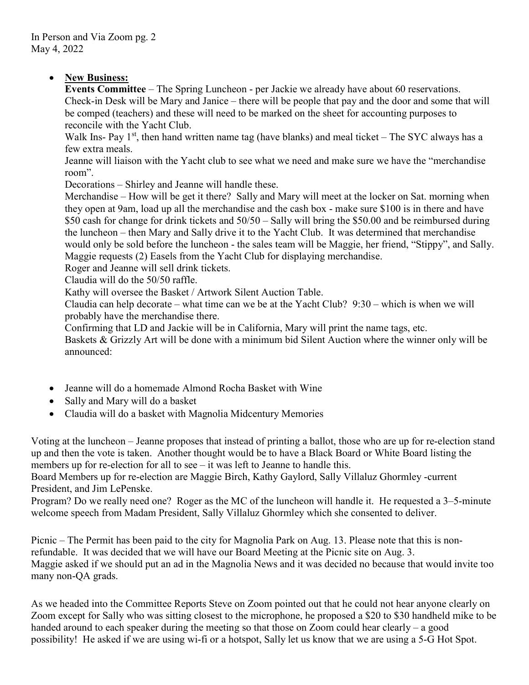#### • New Business:

Events Committee – The Spring Luncheon - per Jackie we already have about 60 reservations. Check-in Desk will be Mary and Janice – there will be people that pay and the door and some that will be comped (teachers) and these will need to be marked on the sheet for accounting purposes to reconcile with the Yacht Club.

Walk Ins- Pay  $1<sup>st</sup>$ , then hand written name tag (have blanks) and meal ticket – The SYC always has a few extra meals.

Jeanne will liaison with the Yacht club to see what we need and make sure we have the "merchandise room".

Decorations – Shirley and Jeanne will handle these.

Merchandise – How will be get it there? Sally and Mary will meet at the locker on Sat. morning when they open at 9am, load up all the merchandise and the cash box - make sure \$100 is in there and have \$50 cash for change for drink tickets and 50/50 – Sally will bring the \$50.00 and be reimbursed during the luncheon – then Mary and Sally drive it to the Yacht Club. It was determined that merchandise would only be sold before the luncheon - the sales team will be Maggie, her friend, "Stippy", and Sally. Maggie requests (2) Easels from the Yacht Club for displaying merchandise.

Roger and Jeanne will sell drink tickets.

Claudia will do the 50/50 raffle.

Kathy will oversee the Basket / Artwork Silent Auction Table.

Claudia can help decorate – what time can we be at the Yacht Club? 9:30 – which is when we will probably have the merchandise there.

Confirming that LD and Jackie will be in California, Mary will print the name tags, etc.

Baskets & Grizzly Art will be done with a minimum bid Silent Auction where the winner only will be announced:

- Jeanne will do a homemade Almond Rocha Basket with Wine
- Sally and Mary will do a basket
- Claudia will do a basket with Magnolia Midcentury Memories

Voting at the luncheon – Jeanne proposes that instead of printing a ballot, those who are up for re-election stand up and then the vote is taken. Another thought would be to have a Black Board or White Board listing the members up for re-election for all to see – it was left to Jeanne to handle this.

Board Members up for re-election are Maggie Birch, Kathy Gaylord, Sally Villaluz Ghormley -current President, and Jim LePenske.

Program? Do we really need one? Roger as the MC of the luncheon will handle it. He requested a 3–5-minute welcome speech from Madam President, Sally Villaluz Ghormley which she consented to deliver.

Picnic – The Permit has been paid to the city for Magnolia Park on Aug. 13. Please note that this is nonrefundable. It was decided that we will have our Board Meeting at the Picnic site on Aug. 3. Maggie asked if we should put an ad in the Magnolia News and it was decided no because that would invite too many non-QA grads.

As we headed into the Committee Reports Steve on Zoom pointed out that he could not hear anyone clearly on Zoom except for Sally who was sitting closest to the microphone, he proposed a \$20 to \$30 handheld mike to be handed around to each speaker during the meeting so that those on Zoom could hear clearly – a good possibility! He asked if we are using wi-fi or a hotspot, Sally let us know that we are using a 5-G Hot Spot.